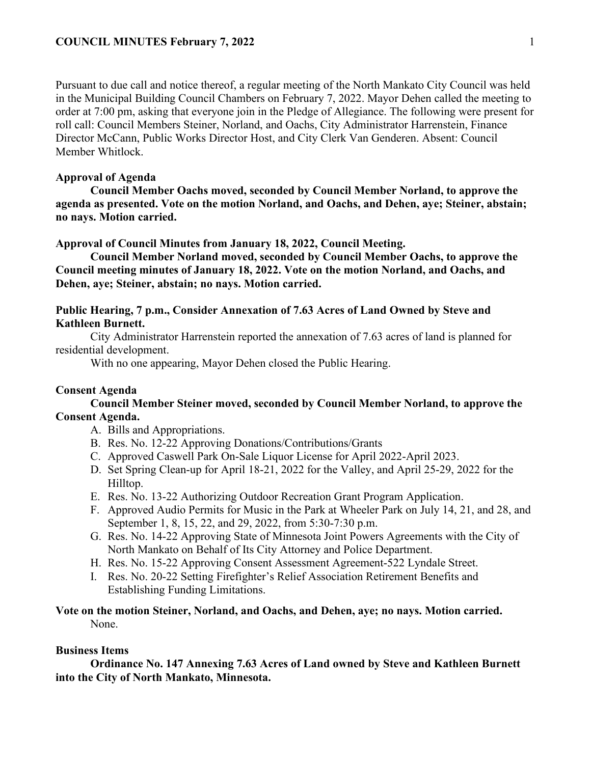Pursuant to due call and notice thereof, a regular meeting of the North Mankato City Council was held in the Municipal Building Council Chambers on February 7, 2022. Mayor Dehen called the meeting to order at 7:00 pm, asking that everyone join in the Pledge of Allegiance. The following were present for roll call: Council Members Steiner, Norland, and Oachs, City Administrator Harrenstein, Finance Director McCann, Public Works Director Host, and City Clerk Van Genderen. Absent: Council Member Whitlock.

# **Approval of Agenda**

**Council Member Oachs moved, seconded by Council Member Norland, to approve the agenda as presented. Vote on the motion Norland, and Oachs, and Dehen, aye; Steiner, abstain; no nays. Motion carried.** 

### **Approval of Council Minutes from January 18, 2022, Council Meeting.**

**Council Member Norland moved, seconded by Council Member Oachs, to approve the Council meeting minutes of January 18, 2022. Vote on the motion Norland, and Oachs, and Dehen, aye; Steiner, abstain; no nays. Motion carried.** 

## **Public Hearing, 7 p.m., Consider Annexation of 7.63 Acres of Land Owned by Steve and Kathleen Burnett.**

City Administrator Harrenstein reported the annexation of 7.63 acres of land is planned for residential development.

With no one appearing, Mayor Dehen closed the Public Hearing.

### **Consent Agenda**

**Council Member Steiner moved, seconded by Council Member Norland, to approve the Consent Agenda.**

- A. Bills and Appropriations.
- B. Res. No. 12-22 Approving Donations/Contributions/Grants
- C. Approved Caswell Park On-Sale Liquor License for April 2022-April 2023.
- D. Set Spring Clean-up for April 18-21, 2022 for the Valley, and April 25-29, 2022 for the Hilltop.
- E. Res. No. 13-22 Authorizing Outdoor Recreation Grant Program Application.
- F. Approved Audio Permits for Music in the Park at Wheeler Park on July 14, 21, and 28, and September 1, 8, 15, 22, and 29, 2022, from 5:30-7:30 p.m.
- G. Res. No. 14-22 Approving State of Minnesota Joint Powers Agreements with the City of North Mankato on Behalf of Its City Attorney and Police Department.
- H. Res. No. 15-22 Approving Consent Assessment Agreement-522 Lyndale Street.
- I. Res. No. 20-22 Setting Firefighter's Relief Association Retirement Benefits and Establishing Funding Limitations.

## **Vote on the motion Steiner, Norland, and Oachs, and Dehen, aye; no nays. Motion carried.**  None.

## **Business Items**

**Ordinance No. 147 Annexing 7.63 Acres of Land owned by Steve and Kathleen Burnett into the City of North Mankato, Minnesota.**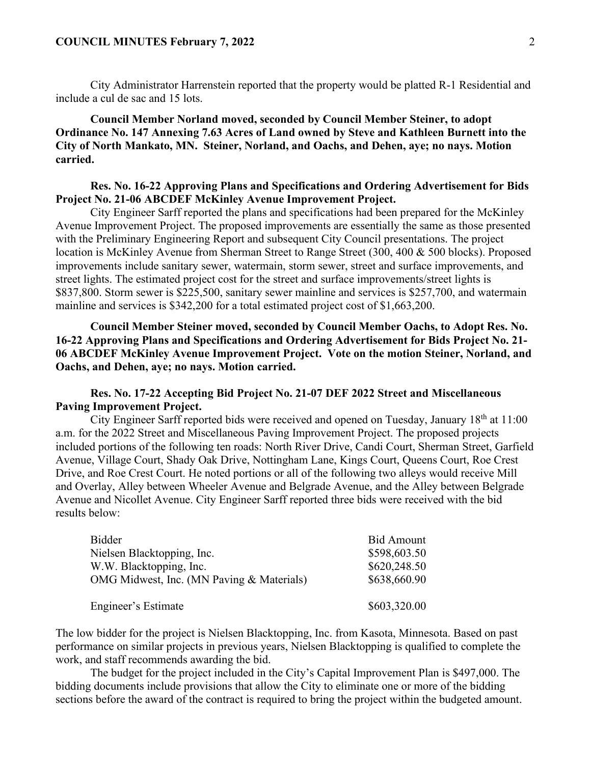#### **COUNCIL MINUTES February 7, 2022** 2

City Administrator Harrenstein reported that the property would be platted R-1 Residential and include a cul de sac and 15 lots.

**Council Member Norland moved, seconded by Council Member Steiner, to adopt Ordinance No. 147 Annexing 7.63 Acres of Land owned by Steve and Kathleen Burnett into the City of North Mankato, MN. Steiner, Norland, and Oachs, and Dehen, aye; no nays. Motion carried.** 

## **Res. No. 16-22 Approving Plans and Specifications and Ordering Advertisement for Bids Project No. 21-06 ABCDEF McKinley Avenue Improvement Project.**

City Engineer Sarff reported the plans and specifications had been prepared for the McKinley Avenue Improvement Project. The proposed improvements are essentially the same as those presented with the Preliminary Engineering Report and subsequent City Council presentations. The project location is McKinley Avenue from Sherman Street to Range Street (300, 400 & 500 blocks). Proposed improvements include sanitary sewer, watermain, storm sewer, street and surface improvements, and street lights. The estimated project cost for the street and surface improvements/street lights is \$837,800. Storm sewer is \$225,500, sanitary sewer mainline and services is \$257,700, and watermain mainline and services is \$342,200 for a total estimated project cost of \$1,663,200.

**Council Member Steiner moved, seconded by Council Member Oachs, to Adopt Res. No. 16-22 Approving Plans and Specifications and Ordering Advertisement for Bids Project No. 21- 06 ABCDEF McKinley Avenue Improvement Project. Vote on the motion Steiner, Norland, and Oachs, and Dehen, aye; no nays. Motion carried.** 

## **Res. No. 17-22 Accepting Bid Project No. 21-07 DEF 2022 Street and Miscellaneous Paving Improvement Project.**

City Engineer Sarff reported bids were received and opened on Tuesday, January 18th at 11:00 a.m. for the 2022 Street and Miscellaneous Paving Improvement Project. The proposed projects included portions of the following ten roads: North River Drive, Candi Court, Sherman Street, Garfield Avenue, Village Court, Shady Oak Drive, Nottingham Lane, Kings Court, Queens Court, Roe Crest Drive, and Roe Crest Court. He noted portions or all of the following two alleys would receive Mill and Overlay, Alley between Wheeler Avenue and Belgrade Avenue, and the Alley between Belgrade Avenue and Nicollet Avenue. City Engineer Sarff reported three bids were received with the bid results below:

| <b>Bidder</b>                             | <b>Bid Amount</b> |
|-------------------------------------------|-------------------|
| Nielsen Blacktopping, Inc.                | \$598,603.50      |
| W.W. Blacktopping, Inc.                   | \$620,248.50      |
| OMG Midwest, Inc. (MN Paving & Materials) | \$638,660.90      |
| Engineer's Estimate                       | \$603,320.00      |

The low bidder for the project is Nielsen Blacktopping, Inc. from Kasota, Minnesota. Based on past performance on similar projects in previous years, Nielsen Blacktopping is qualified to complete the work, and staff recommends awarding the bid.

The budget for the project included in the City's Capital Improvement Plan is \$497,000. The bidding documents include provisions that allow the City to eliminate one or more of the bidding sections before the award of the contract is required to bring the project within the budgeted amount.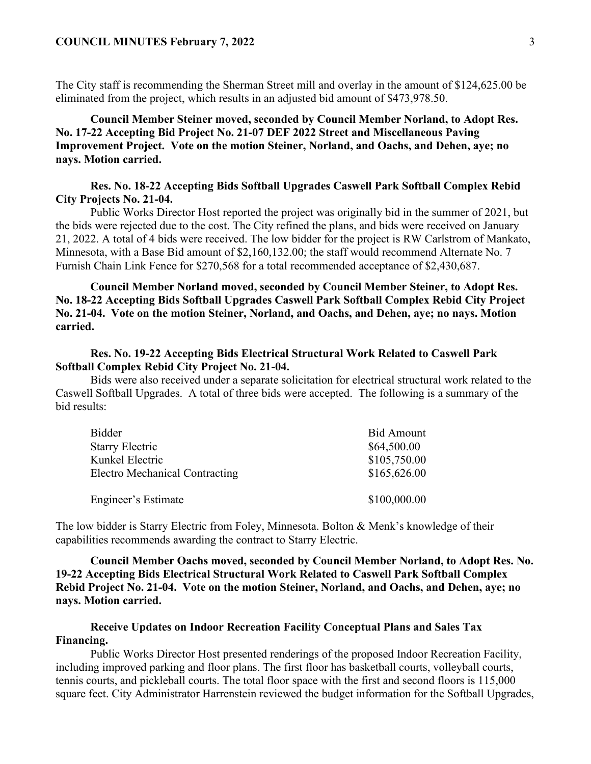The City staff is recommending the Sherman Street mill and overlay in the amount of \$124,625.00 be eliminated from the project, which results in an adjusted bid amount of \$473,978.50.

**Council Member Steiner moved, seconded by Council Member Norland, to Adopt Res. No. 17-22 Accepting Bid Project No. 21-07 DEF 2022 Street and Miscellaneous Paving Improvement Project. Vote on the motion Steiner, Norland, and Oachs, and Dehen, aye; no nays. Motion carried.** 

### **Res. No. 18-22 Accepting Bids Softball Upgrades Caswell Park Softball Complex Rebid City Projects No. 21-04.**

Public Works Director Host reported the project was originally bid in the summer of 2021, but the bids were rejected due to the cost. The City refined the plans, and bids were received on January 21, 2022. A total of 4 bids were received. The low bidder for the project is RW Carlstrom of Mankato, Minnesota, with a Base Bid amount of \$2,160,132.00; the staff would recommend Alternate No. 7 Furnish Chain Link Fence for \$270,568 for a total recommended acceptance of \$2,430,687.

**Council Member Norland moved, seconded by Council Member Steiner, to Adopt Res. No. 18-22 Accepting Bids Softball Upgrades Caswell Park Softball Complex Rebid City Project No. 21-04. Vote on the motion Steiner, Norland, and Oachs, and Dehen, aye; no nays. Motion carried.** 

### **Res. No. 19-22 Accepting Bids Electrical Structural Work Related to Caswell Park Softball Complex Rebid City Project No. 21-04.**

Bids were also received under a separate solicitation for electrical structural work related to the Caswell Softball Upgrades. A total of three bids were accepted. The following is a summary of the bid results:

| <b>Bidder</b>                         | <b>Bid Amount</b> |
|---------------------------------------|-------------------|
| <b>Starry Electric</b>                | \$64,500.00       |
| Kunkel Electric                       | \$105,750.00      |
| <b>Electro Mechanical Contracting</b> | \$165,626.00      |
| Engineer's Estimate                   | \$100,000.00      |

The low bidder is Starry Electric from Foley, Minnesota. Bolton & Menk's knowledge of their capabilities recommends awarding the contract to Starry Electric.

**Council Member Oachs moved, seconded by Council Member Norland, to Adopt Res. No. 19-22 Accepting Bids Electrical Structural Work Related to Caswell Park Softball Complex Rebid Project No. 21-04. Vote on the motion Steiner, Norland, and Oachs, and Dehen, aye; no nays. Motion carried.** 

## **Receive Updates on Indoor Recreation Facility Conceptual Plans and Sales Tax Financing.**

Public Works Director Host presented renderings of the proposed Indoor Recreation Facility, including improved parking and floor plans. The first floor has basketball courts, volleyball courts, tennis courts, and pickleball courts. The total floor space with the first and second floors is 115,000 square feet. City Administrator Harrenstein reviewed the budget information for the Softball Upgrades,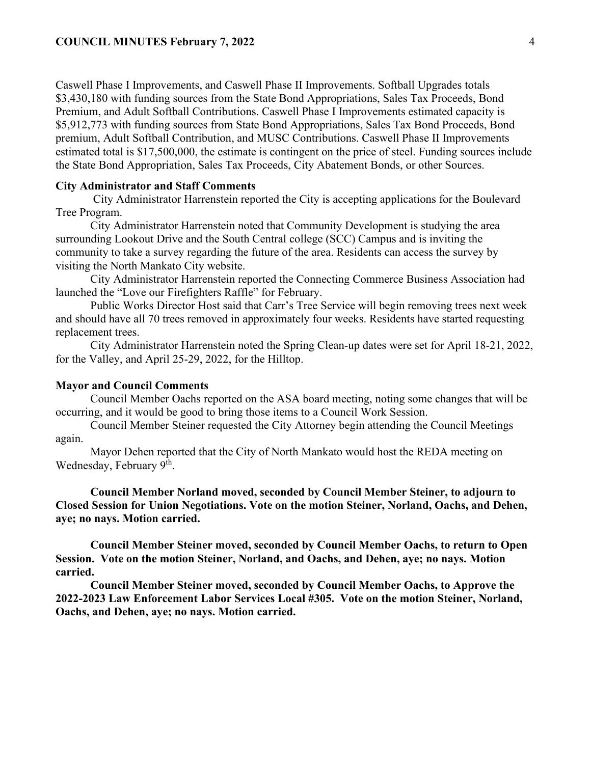Caswell Phase I Improvements, and Caswell Phase II Improvements. Softball Upgrades totals \$3,430,180 with funding sources from the State Bond Appropriations, Sales Tax Proceeds, Bond Premium, and Adult Softball Contributions. Caswell Phase I Improvements estimated capacity is \$5,912,773 with funding sources from State Bond Appropriations, Sales Tax Bond Proceeds, Bond premium, Adult Softball Contribution, and MUSC Contributions. Caswell Phase II Improvements estimated total is \$17,500,000, the estimate is contingent on the price of steel. Funding sources include the State Bond Appropriation, Sales Tax Proceeds, City Abatement Bonds, or other Sources.

### **City Administrator and Staff Comments**

City Administrator Harrenstein reported the City is accepting applications for the Boulevard Tree Program.

City Administrator Harrenstein noted that Community Development is studying the area surrounding Lookout Drive and the South Central college (SCC) Campus and is inviting the community to take a survey regarding the future of the area. Residents can access the survey by visiting the North Mankato City website.

City Administrator Harrenstein reported the Connecting Commerce Business Association had launched the "Love our Firefighters Raffle" for February.

Public Works Director Host said that Carr's Tree Service will begin removing trees next week and should have all 70 trees removed in approximately four weeks. Residents have started requesting replacement trees.

City Administrator Harrenstein noted the Spring Clean-up dates were set for April 18-21, 2022, for the Valley, and April 25-29, 2022, for the Hilltop.

#### **Mayor and Council Comments**

Council Member Oachs reported on the ASA board meeting, noting some changes that will be occurring, and it would be good to bring those items to a Council Work Session.

Council Member Steiner requested the City Attorney begin attending the Council Meetings again.

Mayor Dehen reported that the City of North Mankato would host the REDA meeting on Wednesday, February 9<sup>th</sup>.

**Council Member Norland moved, seconded by Council Member Steiner, to adjourn to Closed Session for Union Negotiations. Vote on the motion Steiner, Norland, Oachs, and Dehen, aye; no nays. Motion carried.** 

**Council Member Steiner moved, seconded by Council Member Oachs, to return to Open Session. Vote on the motion Steiner, Norland, and Oachs, and Dehen, aye; no nays. Motion carried.** 

**Council Member Steiner moved, seconded by Council Member Oachs, to Approve the 2022-2023 Law Enforcement Labor Services Local #305. Vote on the motion Steiner, Norland, Oachs, and Dehen, aye; no nays. Motion carried.**